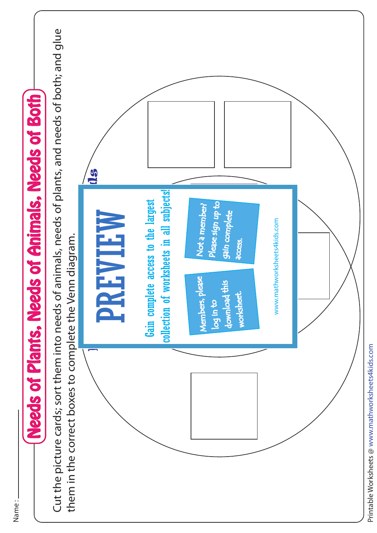

Name :

Printable Worksheets @ www.mathworksheets4kids.com Printable Worksheets @ www.mathworksheets4kids.com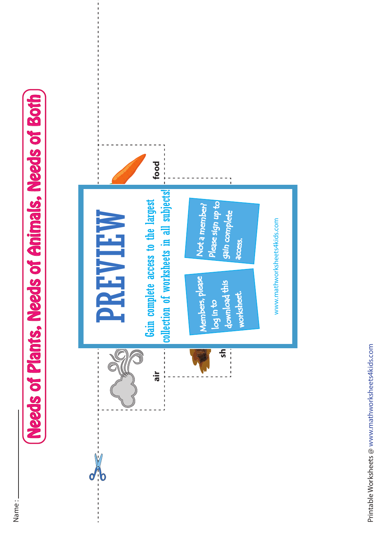## **Needs of Plants, Needs of Animals, Needs of Both** Needs of Plants, Needs of Animals, Needs of Both